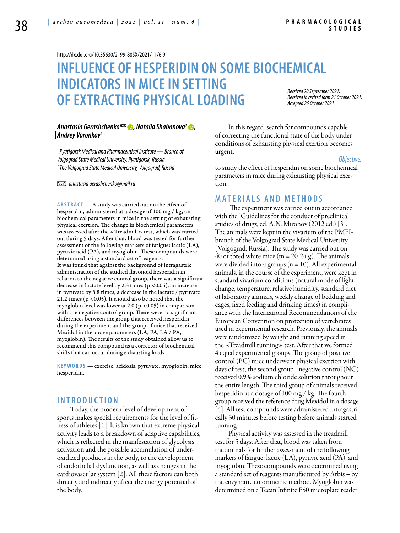**P h a r m a c o l o g i c a l S t u d i e s**

<http://dx.doi.org/10.35630/2199-885X/2021/11/6.9>

### **INFLUENCE OF HESPERIDIN ON SOME BIOCHEMICAL INDICATORS IN MICE IN SETTING OF EXTRACTING PHYSICAL LOADING** *Received 20 September 2021; Received in revised form 21 October 2021; Accepted 25 Оctober 2021*

# *[Anastasia Gerashchenko](https://orcid.org/0000-0003-0294-2926)1 , [Natalia Shabanova1](https://orcid.org/0000-0002-7693-5182) , Andrey Voronkov2*

*1 Pyatigorsk Medical and Pharmaceutical Institute — Branch of Volgograd State Medical University, Pyatigorsk, Russia 2 The Volgograd State Medical University, Volgograd, Russia*

 *anastasia gerashchenko@mail.ru* 

**ABSTRACT** — A study was carried out on the effect of hesperidin, administered at a dosage of 100 mg / kg, on biochemical parameters in mice in the setting of exhausting physical exertion. The change in biochemical parameters was assessed after the «Treadmill» test, which was carried out during 5 days. After that, blood was tested for further assessment of the following markers of fatigue: lactic (LA), pyruvic acid (PA), and myoglobin. These compounds were determined using a standard set of reagents. It was found that against the background of intragastric administration of the studied flavonoid hesperidin in relation to the negative control group, there was a significant decrease in lactate level by 2.3 times ( $p$  <0.05), an increase in pyruvate by 8.8 times, a decrease in the lactate / pyruvate 21.2 times (p <0.05). It should also be noted that the myoglobin level was lower at 2.0 ( $p$  <0.05) in comparison with the negative control group. There were no significant differences between the group that received hesperidin during the experiment and the group of mice that received Mexidol in the above parameters (LA, PA, LA / PA, myoglobin). The results of the study obtained allow us to recommend this compound as a corrector of biochemical shifts that can occur during exhausting loads.

KEYWORDS — exercise, acidosis, pyruvate, myoglobin, mice, hesperidin.

### **I n t r o d uct i o n**

Today, the modern level of development of sports makes special requirements for the level of fitness of athletes [1]. It is known that extreme physical activity leads to a breakdown of adaptive capabilities, which is reflected in the manifestation of glycolysis activation and the possible accumulation of underoxidized products in the body, to the development of endothelial dysfunction, as well as changes in the cardiovascular system [2]. All these factors can both directly and indirectly affect the energy potential of the body.

In this regard, search for compounds capable of correcting the functional state of the body under conditions of exhausting physical exertion becomes urgent.

#### *Objective:*

to study the effect of hesperidin on some biochemical parameters in mice during exhausting physical exertion.

#### **M a t e r i a l s a n d me t h o d s**

 The experiment was carried out in accordance with the "Guidelines for the conduct of preclinical studies of drugs, ed. A.N. Mironov (2012 ed.) [3]. The animals were kept in the vivarium of the PMFIbranch of the Volgograd State Medical University (Volgograd, Russia). The study was carried out on 40 outbred white mice  $(m = 20-24 g)$ . The animals were divided into 4 groups  $(n = 10)$ . All experimental animals, in the course of the experiment, were kept in standard vivarium conditions (natural mode of light change, temperature, relative humidity, standard diet of laboratory animals, weekly change of bedding and cages, fixed feeding and drinking times) in compliance with the International Recommendations of the European Convention on protection of vertebrates used in experimental research. Previously, the animals were randomized by weight and running speed in the «Treadmill running» test. After that we formed 4 equal experimental groups. The group of positive control (PC) mice underwent physical exertion with days of rest, the second group - negative control (NC) received 0.9% sodium chloride solution throughout the entire length. The third group of animals received hesperidin at a dosage of 100 mg / kg. The fourth group received the reference drug Mexidol in a dosage [4]. All test compounds were administered intragastrically 30 minutes before testing before animals started running.

Physical activity was assessed in the treadmill test for 5 days. After that, blood was taken from the animals for further assessment of the following markers of fatigue: lactic (LA), pyruvic acid (PA), and myoglobin. These compounds were determined using a standard set of reagents manufactured by Arbis + by the enzymatic colorimetric method. Myoglobin was determined on a Tecan Infinite F50 microplate reader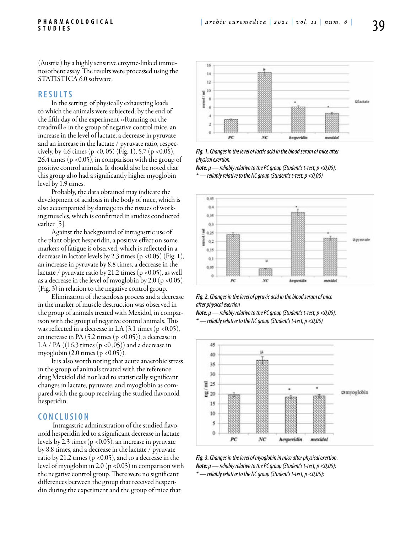(Austria) by a highly sensitive enzyme-linked immunosorbent assay. The results were processed using the STATISTICA 6.0 software.

## **R e s u l t s**

In the setting of physically exhausting loads to which the animals were subjected, by the end of the fifth day of the experiment «Running on the treadmill» in the group of negative control mice, an increase in the level of lactate, a decrease in pyruvate and an increase in the lactate / pyruvate ratio, respectively, by 4.6 times (p <0, 05) (Fig. 1), 5.7 (p <0.05), 26.4 times (p <0.05), in comparison with the group of positive control animals. It should also be noted that this group also had a significantly higher myoglobin level by 1.9 times.

Probably, the data obtained may indicate the development of acidosis in the body of mice, which is also accompanied by damage to the tissues of working muscles, which is confirmed in studies conducted earlier [5].

Against the background of intragastric use of the plant object hesperidin, a positive effect on some markers of fatigue is observed, which is reflected in a decrease in lactate levels by 2.3 times (p <0.05) (Fig. 1), an increase in pyruvate by 8.8 times, a decrease in the lactate / pyruvate ratio by 21.2 times ( $p \le 0.05$ ), as well as a decrease in the level of myoglobin by 2.0 ( $p < 0.05$ ) (Fig. 3) in relation to the negative control group.

Elimination of the acidosis process and a decrease in the marker of muscle destruction was observed in the group of animals treated with Mexidol, in comparison with the group of negative control animals. This was reflected in a decrease in LA  $(3.1 \text{ times } (p \le 0.05))$ , an increase in PA  $(5.2 \text{ times } (p \lt 0.05))$ , a decrease in LA / PA  $((16.3 \text{ times } (p \le 0.05))$  and a decrease in myoglobin  $(2.0 \text{ times } (p \le 0.05))$ .

It is also worth noting that acute anaerobic stress in the group of animals treated with the reference drug Mexidol did not lead to statistically significant changes in lactate, pyruvate, and myoglobin as compared with the group receiving the studied flavonoid hesperidin.

# **С o n cl u s i o n**

 Intragastric administration of the studied flavonoid hesperidin led to a significant decrease in lactate levels by 2.3 times ( $p < 0.05$ ), an increase in pyruvate by 8.8 times, and a decrease in the lactate / pyruvate ratio by 21.2 times ( $p$  <0.05), and to a decrease in the level of myoglobin in 2.0 ( $p$  <0.05) in comparison with the negative control group. There were no significant differences between the group that received hesperidin during the experiment and the group of mice that



*Fig. 1. Changes in the level of lactic acid in the blood serum of mice after physical exertion.*

*Note: μ — reliably relative to the PС group (Student's t-test, p <0,05); \* — reliably relative to the NС group (Student's t-test, p <0,05)*



#### *Fig. 2. Changes in the level of pyruvic acid in the blood serum of mice after physical exertion*

*Note: μ — reliably relative to the PС group (Student's t-test, p <0,05); \* — reliably relative to the NС group (Student's t-test, p <0,05)*



*Fig. 3. Changes in the level of myoglobin in mice after physical exertion. Note: μ — reliably relative to the PС group (Student's t-test, p <0,05); \* — reliably relative to the NС group (Student's t-test, p <0,05);*